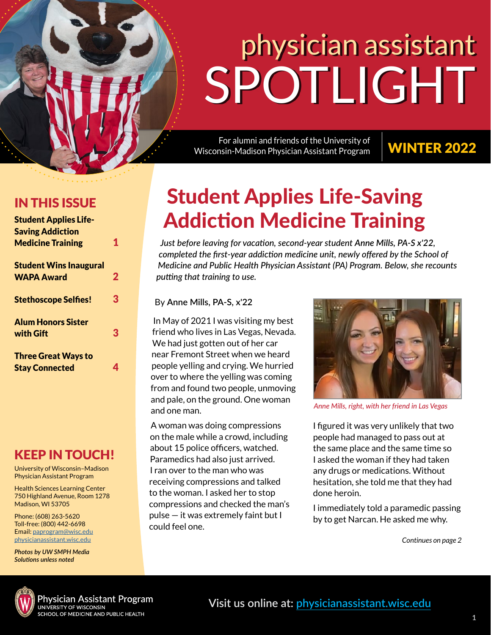# physician assistant SPOTLIGHT

For alumni and friends of the University of Wisconsin-Madison Physician Assistant Program

### WINTER 2022

### IN THIS ISSUE

| <b>Student Applies Life-</b><br><b>Saving Addiction</b> |                         |
|---------------------------------------------------------|-------------------------|
| <b>Medicine Training</b>                                | 1                       |
| <b>Student Wins Inaugural</b>                           |                         |
| <b>WAPA Award</b>                                       | $\overline{\mathbf{2}}$ |
| <b>Stethoscope Selfies!</b>                             | 3                       |
| <b>Alum Honors Sister</b><br>with Gift                  | 3                       |
| <b>Three Great Ways to</b><br><b>Stay Connected</b>     |                         |

### KEEP IN TOUCH!

University of Wisconsin–Madison Physician Assistant Program

Health Sciences Learning Center 750 Highland Avenue, Room 1278 Madison, WI 53705

Phone: (608) 263-5620 Toll-free: (800) 442-6698 Email: [paprogram@wisc.edu](mailto:paprogram%40wisc.edu?subject=Spring%202022%20Newsletter%20contact) [physicianassistant.wisc.edu](https://www.med.wisc.edu/education/physician-assistant-pa-program/)

*Photos by UW SMPH Media Solutions unless noted*

# Student Applies Life-Saving Addiction Medicine Training

*Just before leaving for vacation, second-year student Anne Mills, PA-S x'22, completed the first-year addiction medicine unit, newly offered by the School of Medicine and Public Health Physician Assistant (PA) Program. Below, she recounts putting that training to use.* 

By **Anne Mills, PA-S, x'22**

In May of 2021 I was visiting my best friend who lives in Las Vegas, Nevada. We had just gotten out of her car near Fremont Street when we heard people yelling and crying. We hurried over to where the yelling was coming from and found two people, unmoving and pale, on the ground. One woman and one man.

A woman was doing compressions on the male while a crowd, including about 15 police officers, watched. Paramedics had also just arrived. I ran over to the man who was receiving compressions and talked to the woman. I asked her to stop compressions and checked the man's pulse — it was extremely faint but I could feel one.



*Anne Mills, right, with her friend in Las Vegas*

I figured it was very unlikely that two people had managed to pass out at the same place and the same time so I asked the woman if they had taken any drugs or medications. Without hesitation, she told me that they had done heroin.

I immediately told a paramedic passing by to get Narcan. He asked me why.

*Continues on page 2*



**Visit us online at: [physicianassistant.wisc.edu](https://www.med.wisc.edu/education/physician-assistant-pa-program/)**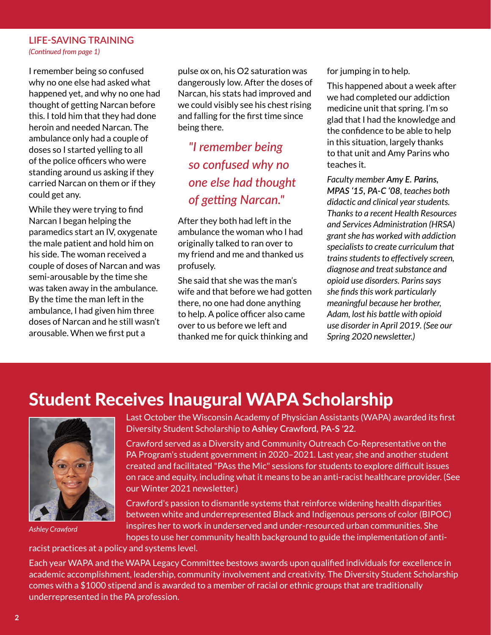#### **LIFE-SAVING TRAINING**  *(Continued from page 1)*

I remember being so confused why no one else had asked what happened yet, and why no one had thought of getting Narcan before this. I told him that they had done heroin and needed Narcan. The ambulance only had a couple of doses so I started yelling to all of the police officers who were standing around us asking if they carried Narcan on them or if they could get any.

While they were trying to find Narcan I began helping the paramedics start an IV, oxygenate the male patient and hold him on his side. The woman received a couple of doses of Narcan and was semi-arousable by the time she was taken away in the ambulance. By the time the man left in the ambulance, I had given him three doses of Narcan and he still wasn't arousable. When we first put a

pulse ox on, his O2 saturation was dangerously low. After the doses of Narcan, his stats had improved and we could visibly see his chest rising and falling for the first time since being there.

*"I remember being so confused why no one else had thought of getting Narcan."*

After they both had left in the ambulance the woman who I had originally talked to ran over to my friend and me and thanked us profusely.

She said that she was the man's wife and that before we had gotten there, no one had done anything to help. A police officer also came over to us before we left and thanked me for quick thinking and

for jumping in to help.

This happened about a week after we had completed our addiction medicine unit that spring. I'm so glad that I had the knowledge and the confidence to be able to help in this situation, largely thanks to that unit and Amy Parins who teaches it.

*Faculty member Amy E. Parins, MPAS '15, PA-C '08, teaches both didactic and clinical year students. Thanks to a recent Health Resources and Services Administration (HRSA) grant she has worked with addiction specialists to create curriculum that trains students to effectively screen, diagnose and treat substance and opioid use disorders. Parins says she finds this work particularly meaningful because her brother, Adam, lost his battle with opioid use disorder in April 2019. (See our Spring 2020 newsletter.)*

# Student Receives Inaugural WAPA Scholarship



*Ashley Crawford*

Last October the Wisconsin Academy of Physician Assistants (WAPA) awarded its first Diversity Student Scholarship to **Ashley Crawford, PA-S '22**.

Crawford served as a Diversity and Community Outreach Co-Representative on the PA Program's student government in 2020–2021. Last year, she and another student created and facilitated "PAss the Mic" sessions for students to explore difficult issues on race and equity, including what it means to be an anti-racist healthcare provider. (See our Winter 2021 newsletter.)

Crawford's passion to dismantle systems that reinforce widening health disparities between white and underrepresented Black and Indigenous persons of color (BIPOC) inspires her to work in underserved and under-resourced urban communities. She hopes to use her community health background to guide the implementation of anti-

racist practices at a policy and systems level.

Each year WAPA and the WAPA Legacy Committee bestows awards upon qualified individuals for excellence in academic accomplishment, leadership, community involvement and creativity. The Diversity Student Scholarship comes with a \$1000 stipend and is awarded to a member of racial or ethnic groups that are traditionally underrepresented in the PA profession.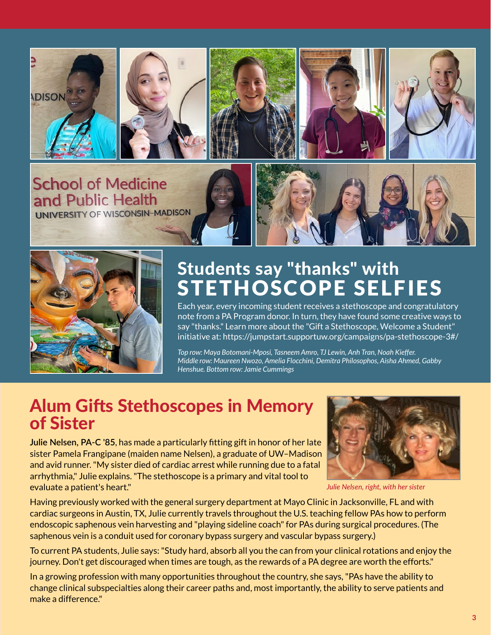









**School of Medicine** and Public Health **UNIVERSITY OF WISCONSIN-MADISON** 



# Students say "thanks" with STETHOSCOPE SELFIES

Each year, every incoming student receives a stethoscope and congratulatory note from a PA Program donor. In turn, they have found some creative ways to say "thanks." Learn more about the "Gift a Stethoscope, Welcome a Student" initiative at: https://jumpstart.supportuw.org/campaigns/pa-stethoscope-3#/

*Top row: Maya Botomani-Mposi, Tasneem Amro, TJ Lewin, Anh Tran, Noah Kieffer. Middle row: Maureen Nwozo, Amelia Flocchini, Demitra Philosophos, Aisha Ahmed, Gabby Henshue. Bottom row: Jamie Cummings*

### Alum Gifts Stethoscopes in Memory of Sister

**Julie Nelsen, PA-C '85**, has made a particularly fitting gift in honor of her late sister Pamela Frangipane (maiden name Nelsen), a graduate of UW–Madison and avid runner. "My sister died of cardiac arrest while running due to a fatal arrhythmia," Julie explains. "The stethoscope is a primary and vital tool to evaluate a patient's heart."



*Julie Nelsen, right, with her sister*

Having previously worked with the general surgery department at Mayo Clinic in Jacksonville, FL and with cardiac surgeons in Austin, TX, Julie currently travels throughout the U.S. teaching fellow PAs how to perform endoscopic saphenous vein harvesting and "playing sideline coach" for PAs during surgical procedures. (The saphenous vein is a conduit used for coronary bypass surgery and vascular bypass surgery.)

To current PA students, Julie says: "Study hard, absorb all you the can from your clinical rotations and enjoy the journey. Don't get discouraged when times are tough, as the rewards of a PA degree are worth the efforts."

In a growing profession with many opportunities throughout the country, she says, "PAs have the ability to change clinical subspecialties along their career paths and, most importantly, the ability to serve patients and make a difference."